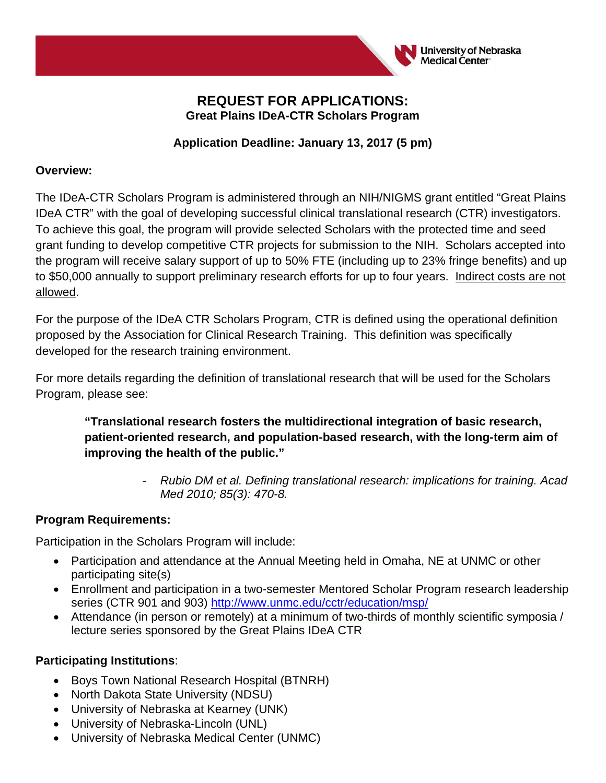

#### **REQUEST FOR APPLICATIONS: Great Plains IDeA-CTR Scholars Program**

### **Application Deadline: January 13, 2017 (5 pm)**

#### **Overview:**

The IDeA-CTR Scholars Program is administered through an NIH/NIGMS grant entitled "Great Plains IDeA CTR" with the goal of developing successful clinical translational research (CTR) investigators. To achieve this goal, the program will provide selected Scholars with the protected time and seed grant funding to develop competitive CTR projects for submission to the NIH. Scholars accepted into the program will receive salary support of up to 50% FTE (including up to 23% fringe benefits) and up to \$50,000 annually to support preliminary research efforts for up to four years. Indirect costs are not allowed.

For the purpose of the IDeA CTR Scholars Program, CTR is defined using the operational definition proposed by the Association for Clinical Research Training. This definition was specifically developed for the research training environment.

For more details regarding the definition of translational research that will be used for the Scholars Program, please see:

**"Translational research fosters the multidirectional integration of basic research, patient-oriented research, and population-based research, with the long-term aim of improving the health of the public."** 

> - *Rubio DM et al. Defining translational research: implications for training. Acad Med 2010; 85(3): 470-8.*

#### **Program Requirements:**

Participation in the Scholars Program will include:

- Participation and attendance at the Annual Meeting held in Omaha, NE at UNMC or other participating site(s)
- Enrollment and participation in a two-semester Mentored Scholar Program research leadership series (CTR 901 and 903) http://www.unmc.edu/cctr/education/msp/
- Attendance (in person or remotely) at a minimum of two-thirds of monthly scientific symposia / lecture series sponsored by the Great Plains IDeA CTR

#### **Participating Institutions**:

- Boys Town National Research Hospital (BTNRH)
- North Dakota State University (NDSU)
- University of Nebraska at Kearney (UNK)
- University of Nebraska-Lincoln (UNL)
- University of Nebraska Medical Center (UNMC)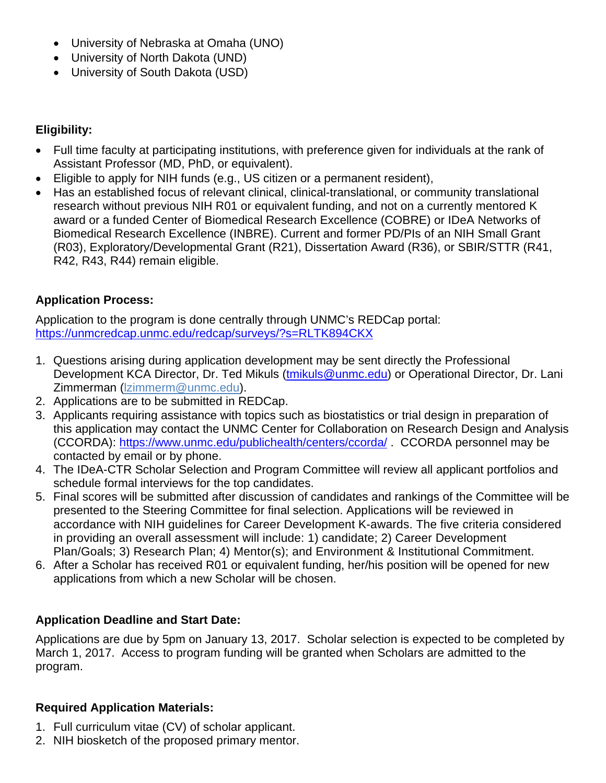- University of Nebraska at Omaha (UNO)
- University of North Dakota (UND)
- University of South Dakota (USD)

### **Eligibility:**

- Full time faculty at participating institutions, with preference given for individuals at the rank of Assistant Professor (MD, PhD, or equivalent).
- Eligible to apply for NIH funds (e.g., US citizen or a permanent resident),
- Has an established focus of relevant clinical, clinical-translational, or community translational research without previous NIH R01 or equivalent funding, and not on a currently mentored K award or a funded Center of Biomedical Research Excellence (COBRE) or IDeA Networks of Biomedical Research Excellence (INBRE). Current and former PD/PIs of an NIH Small Grant (R03), Exploratory/Developmental Grant (R21), Dissertation Award (R36), or SBIR/STTR (R41, R42, R43, R44) remain eligible.

# **Application Process:**

Application to the program is done centrally through UNMC's REDCap portal: https://unmcredcap.unmc.edu/redcap/surveys/?s=RLTK894CKX

- 1. Questions arising during application development may be sent directly the Professional Development KCA Director, Dr. Ted Mikuls (tmikuls@unmc.edu) or Operational Director, Dr. Lani Zimmerman (lzimmerm@unmc.edu).
- 2. Applications are to be submitted in REDCap.
- 3. Applicants requiring assistance with topics such as biostatistics or trial design in preparation of this application may contact the UNMC Center for Collaboration on Research Design and Analysis (CCORDA): https://www.unmc.edu/publichealth/centers/ccorda/ . CCORDA personnel may be contacted by email or by phone.
- 4. The IDeA-CTR Scholar Selection and Program Committee will review all applicant portfolios and schedule formal interviews for the top candidates.
- 5. Final scores will be submitted after discussion of candidates and rankings of the Committee will be presented to the Steering Committee for final selection. Applications will be reviewed in accordance with NIH guidelines for Career Development K-awards. The five criteria considered in providing an overall assessment will include: 1) candidate; 2) Career Development Plan/Goals; 3) Research Plan; 4) Mentor(s); and Environment & Institutional Commitment.
- 6. After a Scholar has received R01 or equivalent funding, her/his position will be opened for new applications from which a new Scholar will be chosen.

# **Application Deadline and Start Date:**

Applications are due by 5pm on January 13, 2017. Scholar selection is expected to be completed by March 1, 2017. Access to program funding will be granted when Scholars are admitted to the program.

#### **Required Application Materials:**

- 1. Full curriculum vitae (CV) of scholar applicant.
- 2. NIH biosketch of the proposed primary mentor.